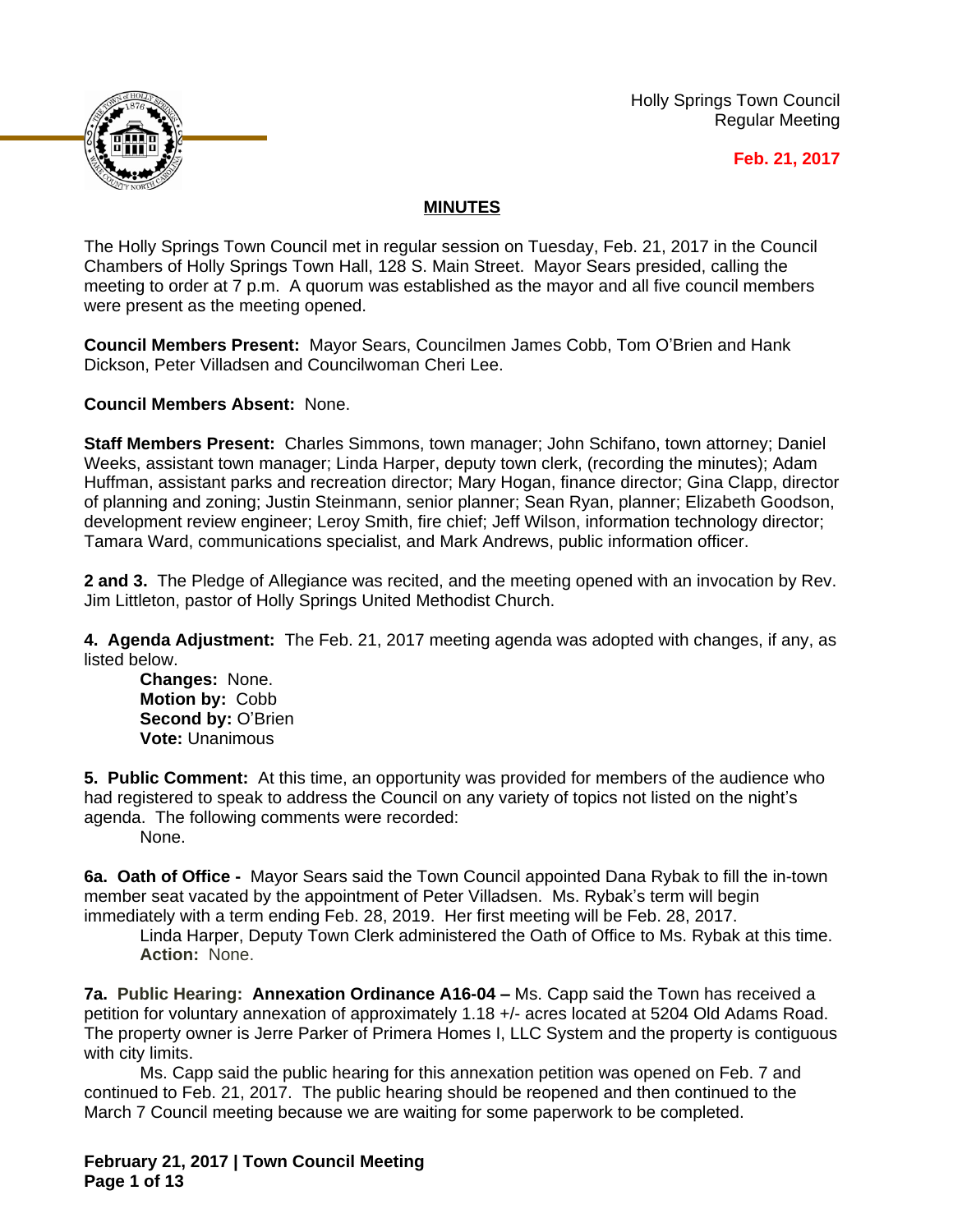Holly Springs Town Council Regular Meeting





## **MINUTES**

The Holly Springs Town Council met in regular session on Tuesday, Feb. 21, 2017 in the Council Chambers of Holly Springs Town Hall, 128 S. Main Street. Mayor Sears presided, calling the meeting to order at 7 p.m. A quorum was established as the mayor and all five council members were present as the meeting opened.

**Council Members Present:** Mayor Sears, Councilmen James Cobb, Tom O'Brien and Hank Dickson, Peter Villadsen and Councilwoman Cheri Lee.

**Council Members Absent:** None.

**Staff Members Present:** Charles Simmons, town manager; John Schifano, town attorney; Daniel Weeks, assistant town manager; Linda Harper, deputy town clerk, (recording the minutes); Adam Huffman, assistant parks and recreation director; Mary Hogan, finance director; Gina Clapp, director of planning and zoning; Justin Steinmann, senior planner; Sean Ryan, planner; Elizabeth Goodson, development review engineer; Leroy Smith, fire chief; Jeff Wilson, information technology director; Tamara Ward, communications specialist, and Mark Andrews, public information officer.

**2 and 3.** The Pledge of Allegiance was recited, and the meeting opened with an invocation by Rev. Jim Littleton, pastor of Holly Springs United Methodist Church.

**4. Agenda Adjustment:** The Feb. 21, 2017 meeting agenda was adopted with changes, if any, as listed below.

**Changes:** None. **Motion by:** Cobb **Second by:** O'Brien **Vote:** Unanimous

**5. Public Comment:** At this time, an opportunity was provided for members of the audience who had registered to speak to address the Council on any variety of topics not listed on the night's agenda. The following comments were recorded:

None.

**6a. Oath of Office -** Mayor Sears said the Town Council appointed Dana Rybak to fill the in-town member seat vacated by the appointment of Peter Villadsen. Ms. Rybak's term will begin immediately with a term ending Feb. 28, 2019. Her first meeting will be Feb. 28, 2017.

Linda Harper, Deputy Town Clerk administered the Oath of Office to Ms. Rybak at this time. **Action:** None.

**7a. Public Hearing: Annexation Ordinance A16-04 – Ms. Capp said the Town has received a** petition for voluntary annexation of approximately 1.18 +/- acres located at 5204 Old Adams Road. The property owner is Jerre Parker of Primera Homes I, LLC System and the property is contiguous with city limits.

Ms. Capp said the public hearing for this annexation petition was opened on Feb. 7 and continued to Feb. 21, 2017. The public hearing should be reopened and then continued to the March 7 Council meeting because we are waiting for some paperwork to be completed.

**February 21, 2017 | Town Council Meeting Page 1 of 13**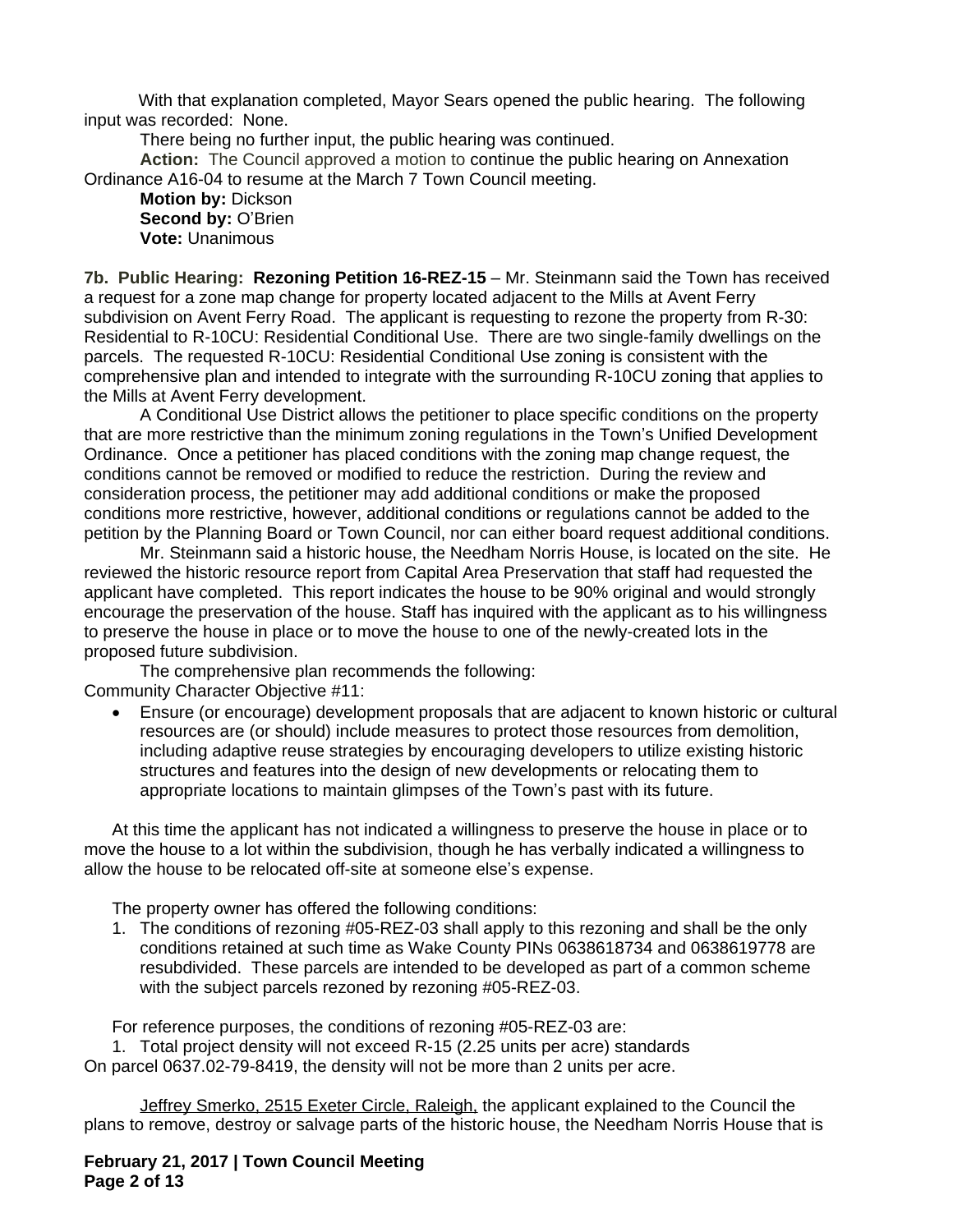With that explanation completed, Mayor Sears opened the public hearing. The following input was recorded: None.

There being no further input, the public hearing was continued.

**Action:** The Council approved a motion to continue the public hearing on Annexation Ordinance A16-04 to resume at the March 7 Town Council meeting.

**Motion by:** Dickson **Second by: O'Brien Vote:** Unanimous

**7b. Public Hearing: Rezoning Petition 16-REZ-15** – Mr. Steinmann said the Town has received a request for a zone map change for property located adjacent to the Mills at Avent Ferry subdivision on Avent Ferry Road. The applicant is requesting to rezone the property from R-30: Residential to R-10CU: Residential Conditional Use. There are two single-family dwellings on the parcels. The requested R-10CU: Residential Conditional Use zoning is consistent with the comprehensive plan and intended to integrate with the surrounding R-10CU zoning that applies to the Mills at Avent Ferry development.

A Conditional Use District allows the petitioner to place specific conditions on the property that are more restrictive than the minimum zoning regulations in the Town's Unified Development Ordinance. Once a petitioner has placed conditions with the zoning map change request, the conditions cannot be removed or modified to reduce the restriction. During the review and consideration process, the petitioner may add additional conditions or make the proposed conditions more restrictive, however, additional conditions or regulations cannot be added to the petition by the Planning Board or Town Council, nor can either board request additional conditions.

Mr. Steinmann said a historic house, the Needham Norris House, is located on the site. He reviewed the historic resource report from Capital Area Preservation that staff had requested the applicant have completed. This report indicates the house to be 90% original and would strongly encourage the preservation of the house. Staff has inquired with the applicant as to his willingness to preserve the house in place or to move the house to one of the newly-created lots in the proposed future subdivision.

The comprehensive plan recommends the following: Community Character Objective #11:

 Ensure (or encourage) development proposals that are adjacent to known historic or cultural resources are (or should) include measures to protect those resources from demolition, including adaptive reuse strategies by encouraging developers to utilize existing historic structures and features into the design of new developments or relocating them to appropriate locations to maintain glimpses of the Town's past with its future.

At this time the applicant has not indicated a willingness to preserve the house in place or to move the house to a lot within the subdivision, though he has verbally indicated a willingness to allow the house to be relocated off-site at someone else's expense.

The property owner has offered the following conditions:

1. The conditions of rezoning #05-REZ-03 shall apply to this rezoning and shall be the only conditions retained at such time as Wake County PINs 0638618734 and 0638619778 are resubdivided. These parcels are intended to be developed as part of a common scheme with the subject parcels rezoned by rezoning #05-REZ-03.

For reference purposes, the conditions of rezoning #05-REZ-03 are:

1. Total project density will not exceed R-15 (2.25 units per acre) standards

On parcel 0637.02-79-8419, the density will not be more than 2 units per acre.

Jeffrey Smerko, 2515 Exeter Circle, Raleigh, the applicant explained to the Council the plans to remove, destroy or salvage parts of the historic house, the Needham Norris House that is

**February 21, 2017 | Town Council Meeting Page 2 of 13**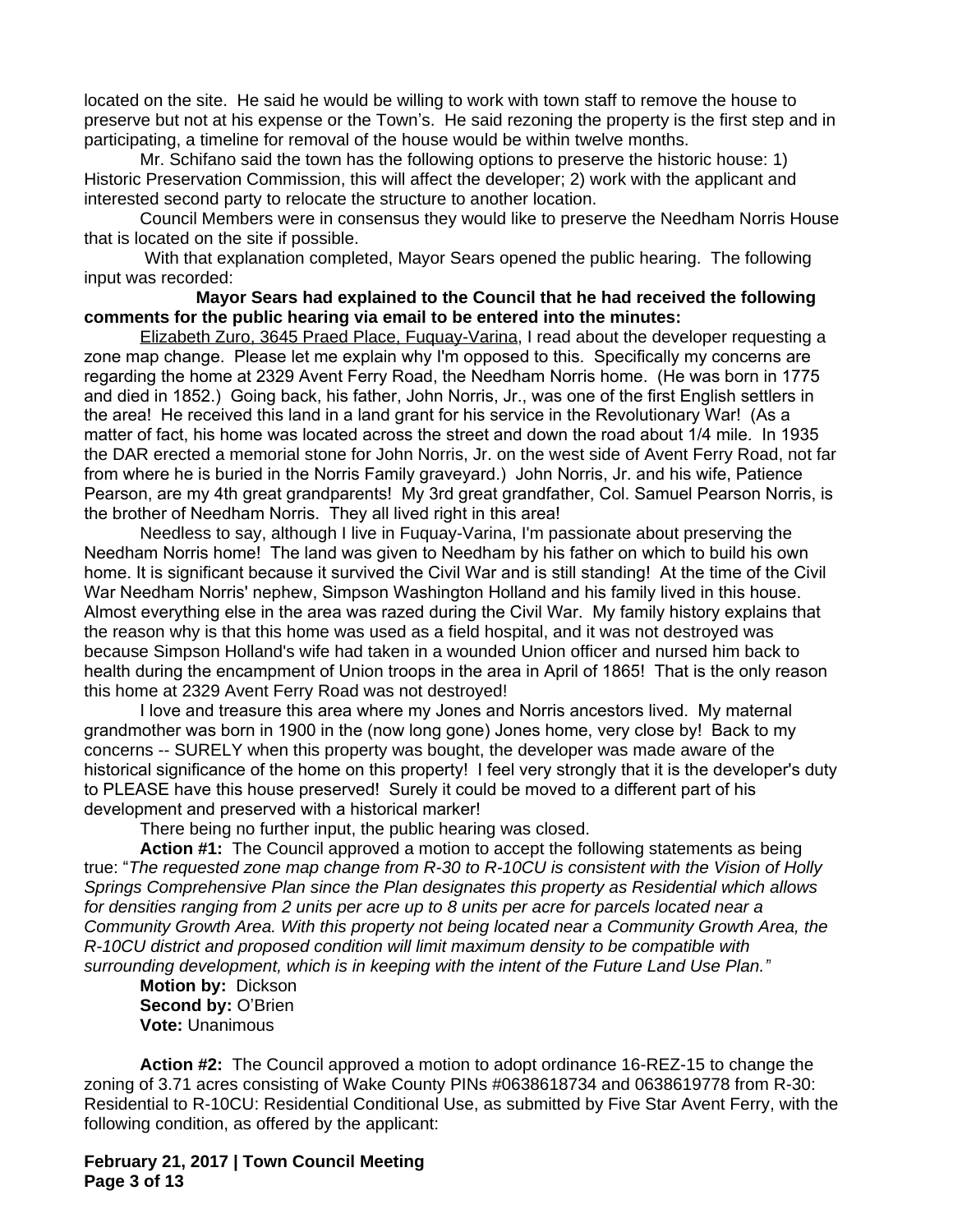located on the site. He said he would be willing to work with town staff to remove the house to preserve but not at his expense or the Town's. He said rezoning the property is the first step and in participating, a timeline for removal of the house would be within twelve months.

Mr. Schifano said the town has the following options to preserve the historic house: 1) Historic Preservation Commission, this will affect the developer; 2) work with the applicant and interested second party to relocate the structure to another location.

Council Members were in consensus they would like to preserve the Needham Norris House that is located on the site if possible.

With that explanation completed, Mayor Sears opened the public hearing. The following input was recorded:

## **Mayor Sears had explained to the Council that he had received the following comments for the public hearing via email to be entered into the minutes:**

Elizabeth Zuro, 3645 Praed Place, Fuquay-Varina, I read about the developer requesting a zone map change. Please let me explain why I'm opposed to this. Specifically my concerns are regarding the home at 2329 Avent Ferry Road, the Needham Norris home. (He was born in 1775 and died in 1852.) Going back, his father, John Norris, Jr., was one of the first English settlers in the area! He received this land in a land grant for his service in the Revolutionary War! (As a matter of fact, his home was located across the street and down the road about 1/4 mile. In 1935 the DAR erected a memorial stone for John Norris, Jr. on the west side of Avent Ferry Road, not far from where he is buried in the Norris Family graveyard.) John Norris, Jr. and his wife, Patience Pearson, are my 4th great grandparents! My 3rd great grandfather, Col. Samuel Pearson Norris, is the brother of Needham Norris. They all lived right in this area!

Needless to say, although I live in Fuquay-Varina, I'm passionate about preserving the Needham Norris home! The land was given to Needham by his father on which to build his own home. It is significant because it survived the Civil War and is still standing! At the time of the Civil War Needham Norris' nephew, Simpson Washington Holland and his family lived in this house. Almost everything else in the area was razed during the Civil War. My family history explains that the reason why is that this home was used as a field hospital, and it was not destroyed was because Simpson Holland's wife had taken in a wounded Union officer and nursed him back to health during the encampment of Union troops in the area in April of 1865! That is the only reason this home at 2329 Avent Ferry Road was not destroyed!

I love and treasure this area where my Jones and Norris ancestors lived. My maternal grandmother was born in 1900 in the (now long gone) Jones home, very close by! Back to my concerns -- SURELY when this property was bought, the developer was made aware of the historical significance of the home on this property! I feel very strongly that it is the developer's duty to PLEASE have this house preserved! Surely it could be moved to a different part of his development and preserved with a historical marker!

There being no further input, the public hearing was closed.

**Action #1:** The Council approved a motion to accept the following statements as being true: "*The requested zone map change from R-30 to R-10CU is consistent with the Vision of Holly Springs Comprehensive Plan since the Plan designates this property as Residential which allows for densities ranging from 2 units per acre up to 8 units per acre for parcels located near a Community Growth Area. With this property not being located near a Community Growth Area, the R-10CU district and proposed condition will limit maximum density to be compatible with surrounding development, which is in keeping with the intent of the Future Land Use Plan."*

**Motion by:** Dickson **Second by:** O'Brien **Vote:** Unanimous

**Action #2:** The Council approved a motion to adopt ordinance 16-REZ-15 to change the zoning of 3.71 acres consisting of Wake County PINs #0638618734 and 0638619778 from R-30: Residential to R-10CU: Residential Conditional Use, as submitted by Five Star Avent Ferry, with the following condition, as offered by the applicant:

**February 21, 2017 | Town Council Meeting Page 3 of 13**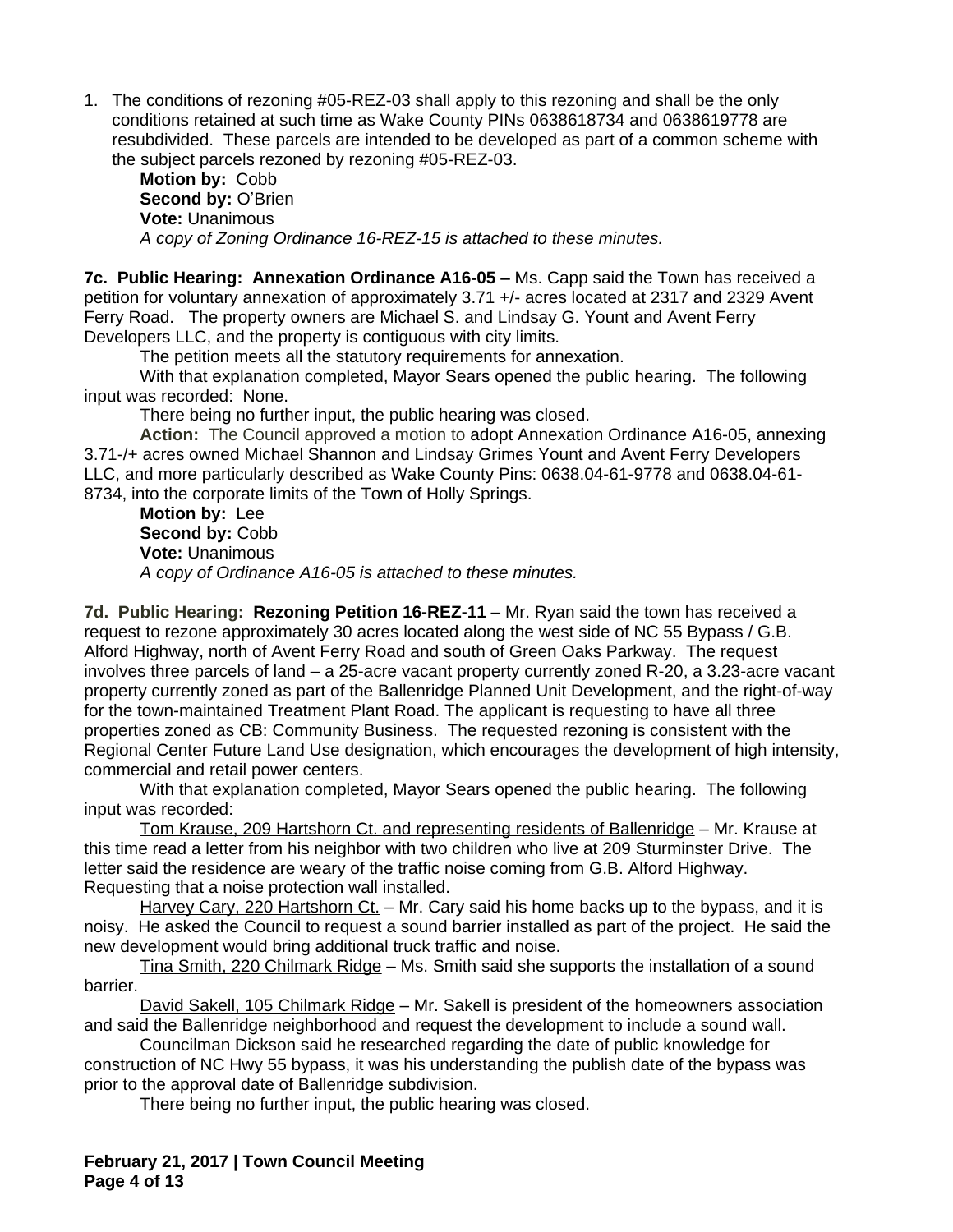1. The conditions of rezoning #05-REZ-03 shall apply to this rezoning and shall be the only conditions retained at such time as Wake County PINs 0638618734 and 0638619778 are resubdivided. These parcels are intended to be developed as part of a common scheme with the subject parcels rezoned by rezoning #05-REZ-03.

**Motion by:** Cobb **Second by: O'Brien Vote:** Unanimous *A copy of Zoning Ordinance 16-REZ-15 is attached to these minutes.*

**7c. Public Hearing: Annexation Ordinance A16-05 –** Ms. Capp said the Town has received a petition for voluntary annexation of approximately 3.71 +/- acres located at 2317 and 2329 Avent Ferry Road. The property owners are Michael S. and Lindsay G. Yount and Avent Ferry Developers LLC, and the property is contiguous with city limits.

The petition meets all the statutory requirements for annexation.

With that explanation completed, Mayor Sears opened the public hearing. The following input was recorded: None.

There being no further input, the public hearing was closed.

**Action:** The Council approved a motion to adopt Annexation Ordinance A16-05, annexing 3.71-/+ acres owned Michael Shannon and Lindsay Grimes Yount and Avent Ferry Developers LLC, and more particularly described as Wake County Pins: 0638.04-61-9778 and 0638.04-61- 8734, into the corporate limits of the Town of Holly Springs.

**Motion by:** Lee Second by: Cobb **Vote:** Unanimous *A copy of Ordinance A16-05 is attached to these minutes.*

**7d. Public Hearing: Rezoning Petition 16-REZ-11** – Mr. Ryan said the town has received a request to rezone approximately 30 acres located along the west side of NC 55 Bypass / G.B. Alford Highway, north of Avent Ferry Road and south of Green Oaks Parkway. The request involves three parcels of land – a 25-acre vacant property currently zoned R-20, a 3.23-acre vacant property currently zoned as part of the Ballenridge Planned Unit Development, and the right-of-way for the town-maintained Treatment Plant Road. The applicant is requesting to have all three properties zoned as CB: Community Business. The requested rezoning is consistent with the Regional Center Future Land Use designation, which encourages the development of high intensity, commercial and retail power centers.

With that explanation completed, Mayor Sears opened the public hearing. The following input was recorded:

Tom Krause, 209 Hartshorn Ct. and representing residents of Ballenridge – Mr. Krause at this time read a letter from his neighbor with two children who live at 209 Sturminster Drive. The letter said the residence are weary of the traffic noise coming from G.B. Alford Highway. Requesting that a noise protection wall installed.

Harvey Cary, 220 Hartshorn Ct. – Mr. Cary said his home backs up to the bypass, and it is noisy. He asked the Council to request a sound barrier installed as part of the project. He said the new development would bring additional truck traffic and noise.

Tina Smith, 220 Chilmark Ridge - Ms. Smith said she supports the installation of a sound barrier.

David Sakell, 105 Chilmark Ridge – Mr. Sakell is president of the homeowners association and said the Ballenridge neighborhood and request the development to include a sound wall.

Councilman Dickson said he researched regarding the date of public knowledge for construction of NC Hwy 55 bypass, it was his understanding the publish date of the bypass was prior to the approval date of Ballenridge subdivision.

There being no further input, the public hearing was closed.

**February 21, 2017 | Town Council Meeting Page 4 of 13**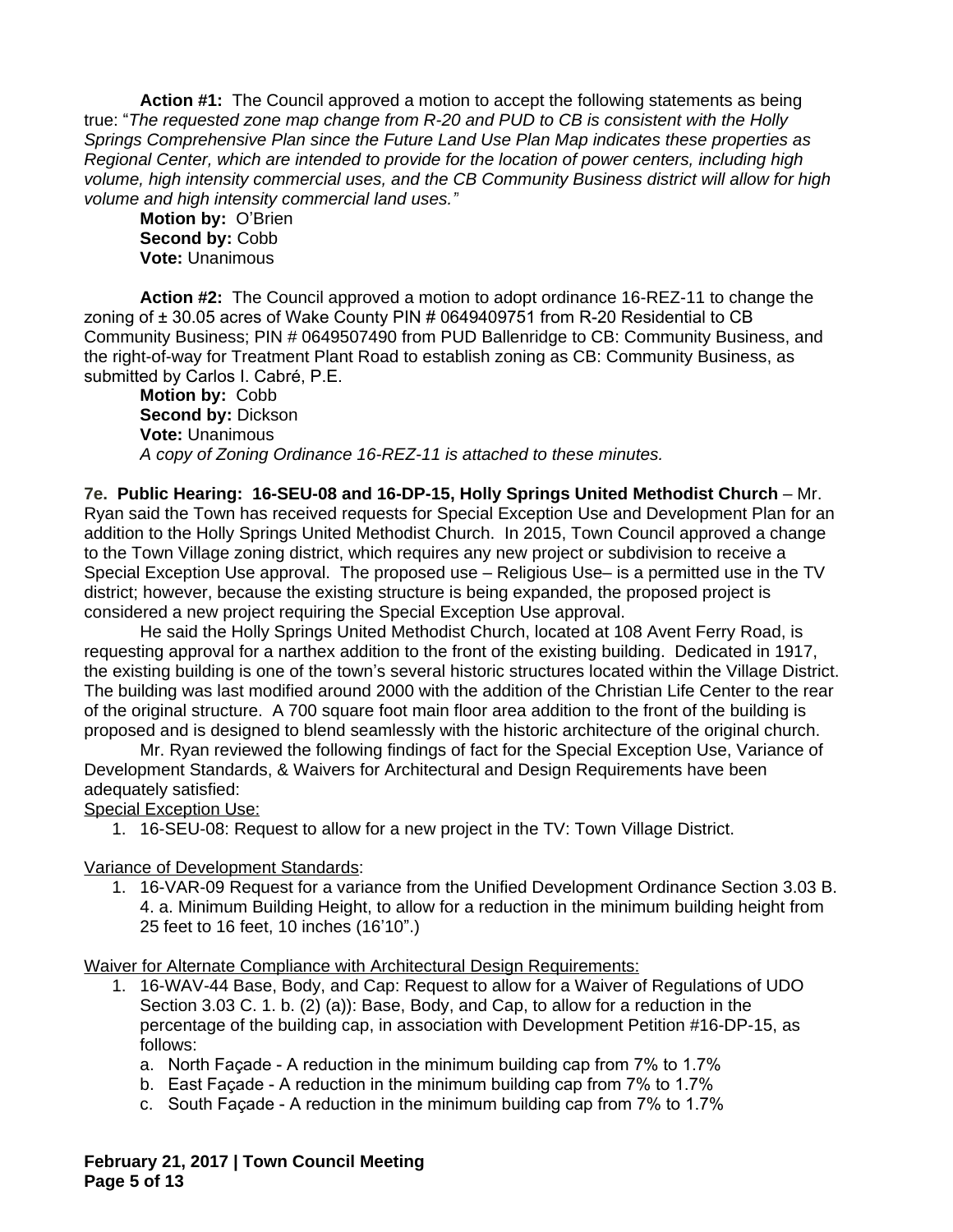**Action #1:** The Council approved a motion to accept the following statements as being true: "*The requested zone map change from R-20 and PUD to CB is consistent with the Holly Springs Comprehensive Plan since the Future Land Use Plan Map indicates these properties as Regional Center, which are intended to provide for the location of power centers, including high volume, high intensity commercial uses, and the CB Community Business district will allow for high volume and high intensity commercial land uses."*

**Motion by:** O'Brien Second by: Cobb **Vote:** Unanimous

**Action #2:** The Council approved a motion to adopt ordinance 16-REZ-11 to change the zoning of ± 30.05 acres of Wake County PIN # 0649409751 from R-20 Residential to CB Community Business; PIN # 0649507490 from PUD Ballenridge to CB: Community Business, and the right-of-way for Treatment Plant Road to establish zoning as CB: Community Business, as submitted by Carlos I. Cabré, P.E.

**Motion by:** Cobb **Second by:** Dickson **Vote:** Unanimous *A copy of Zoning Ordinance 16-REZ-11 is attached to these minutes.*

**7e. Public Hearing: 16-SEU-08 and 16-DP-15, Holly Springs United Methodist Church** – Mr. Ryan said the Town has received requests for Special Exception Use and Development Plan for an addition to the Holly Springs United Methodist Church. In 2015, Town Council approved a change to the Town Village zoning district, which requires any new project or subdivision to receive a Special Exception Use approval. The proposed use – Religious Use– is a permitted use in the TV district; however, because the existing structure is being expanded, the proposed project is considered a new project requiring the Special Exception Use approval.

He said the Holly Springs United Methodist Church, located at 108 Avent Ferry Road, is requesting approval for a narthex addition to the front of the existing building. Dedicated in 1917, the existing building is one of the town's several historic structures located within the Village District. The building was last modified around 2000 with the addition of the Christian Life Center to the rear of the original structure. A 700 square foot main floor area addition to the front of the building is proposed and is designed to blend seamlessly with the historic architecture of the original church.

Mr. Ryan reviewed the following findings of fact for the Special Exception Use, Variance of Development Standards, & Waivers for Architectural and Design Requirements have been adequately satisfied:

Special Exception Use:

1. 16-SEU-08: Request to allow for a new project in the TV: Town Village District.

Variance of Development Standards:

1. 16-VAR-09 Request for a variance from the Unified Development Ordinance Section 3.03 B. 4. a. Minimum Building Height, to allow for a reduction in the minimum building height from 25 feet to 16 feet, 10 inches (16'10".)

Waiver for Alternate Compliance with Architectural Design Requirements:

- 1. 16-WAV-44 Base, Body, and Cap: Request to allow for a Waiver of Regulations of UDO Section 3.03 C. 1. b. (2) (a)): Base, Body, and Cap, to allow for a reduction in the percentage of the building cap, in association with Development Petition #16-DP-15, as follows:
	- a. North Façade A reduction in the minimum building cap from 7% to 1.7%
	- b. East Façade A reduction in the minimum building cap from 7% to 1.7%
	- c. South Façade A reduction in the minimum building cap from 7% to 1.7%

**February 21, 2017 | Town Council Meeting Page 5 of 13**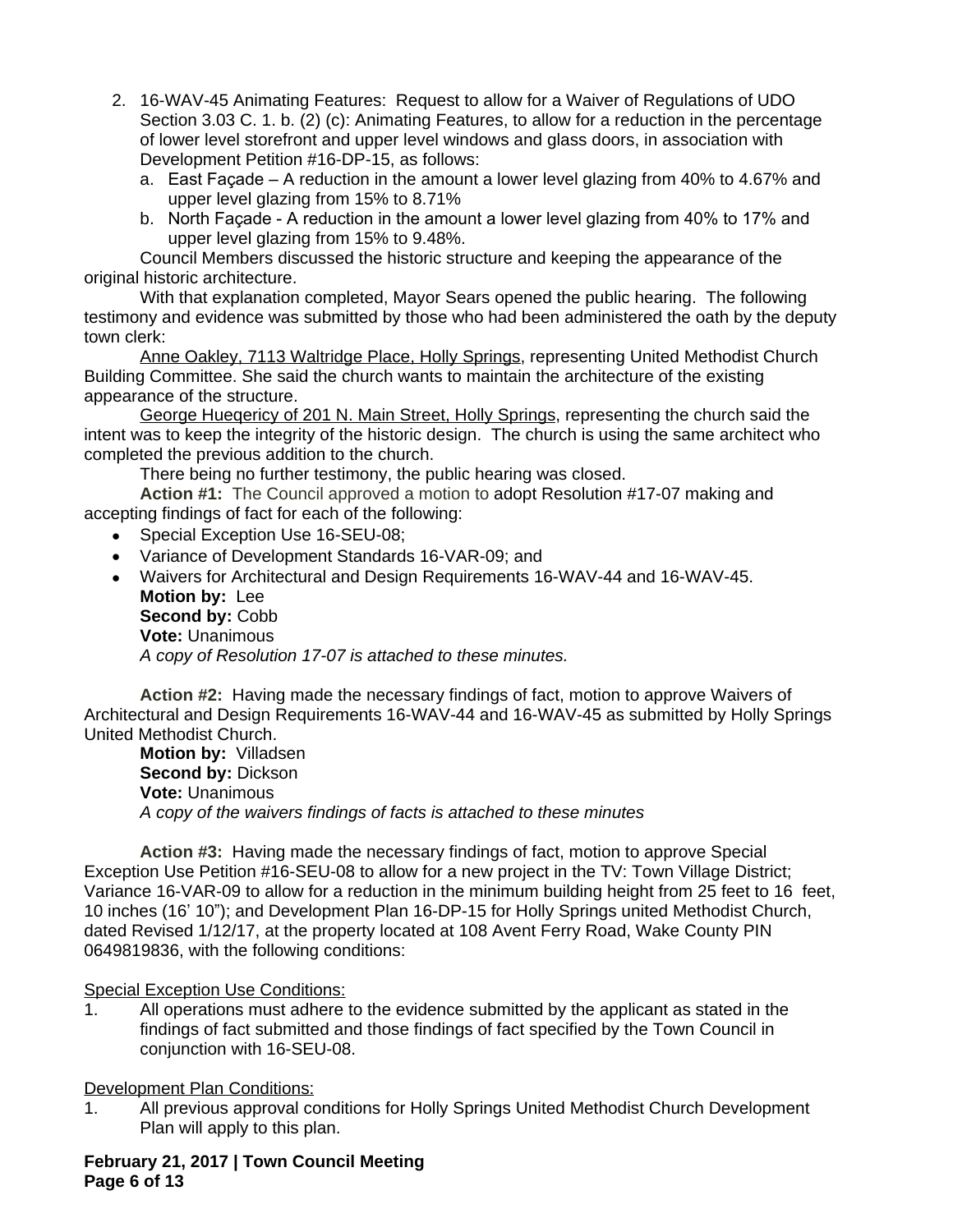- 2. 16-WAV-45 Animating Features: Request to allow for a Waiver of Regulations of UDO Section 3.03 C. 1. b. (2) (c): Animating Features, to allow for a reduction in the percentage of lower level storefront and upper level windows and glass doors, in association with Development Petition #16-DP-15, as follows:
	- a. East Façade A reduction in the amount a lower level glazing from 40% to 4.67% and upper level glazing from 15% to 8.71%
	- b. North Façade A reduction in the amount a lower level glazing from 40% to 17% and upper level glazing from 15% to 9.48%.

Council Members discussed the historic structure and keeping the appearance of the original historic architecture.

With that explanation completed, Mayor Sears opened the public hearing. The following testimony and evidence was submitted by those who had been administered the oath by the deputy town clerk:

Anne Oakley, 7113 Waltridge Place, Holly Springs, representing United Methodist Church Building Committee. She said the church wants to maintain the architecture of the existing appearance of the structure.

George Hueqericy of 201 N. Main Street, Holly Springs, representing the church said the intent was to keep the integrity of the historic design. The church is using the same architect who completed the previous addition to the church.

There being no further testimony, the public hearing was closed.

**Action #1:** The Council approved a motion to adopt Resolution #17-07 making and accepting findings of fact for each of the following:

- Special Exception Use 16-SEU-08;
- Variance of Development Standards 16-VAR-09; and
- Waivers for Architectural and Design Requirements 16-WAV-44 and 16-WAV-45. **Motion by:** Lee Second by: Cobb **Vote:** Unanimous *A copy of Resolution 17-07 is attached to these minutes.*

**Action #2:** Having made the necessary findings of fact, motion to approve Waivers of Architectural and Design Requirements 16-WAV-44 and 16-WAV-45 as submitted by Holly Springs United Methodist Church.

**Motion by:** Villadsen **Second by:** Dickson **Vote:** Unanimous *A copy of the waivers findings of facts is attached to these minutes*

**Action #3:** Having made the necessary findings of fact, motion to approve Special Exception Use Petition #16-SEU-08 to allow for a new project in the TV: Town Village District; Variance 16-VAR-09 to allow for a reduction in the minimum building height from 25 feet to 16 feet, 10 inches (16' 10"); and Development Plan 16-DP-15 for Holly Springs united Methodist Church, dated Revised 1/12/17, at the property located at 108 Avent Ferry Road, Wake County PIN 0649819836, with the following conditions:

## Special Exception Use Conditions:

1. All operations must adhere to the evidence submitted by the applicant as stated in the findings of fact submitted and those findings of fact specified by the Town Council in conjunction with 16-SEU-08.

## Development Plan Conditions:

1. All previous approval conditions for Holly Springs United Methodist Church Development Plan will apply to this plan.

**February 21, 2017 | Town Council Meeting Page 6 of 13**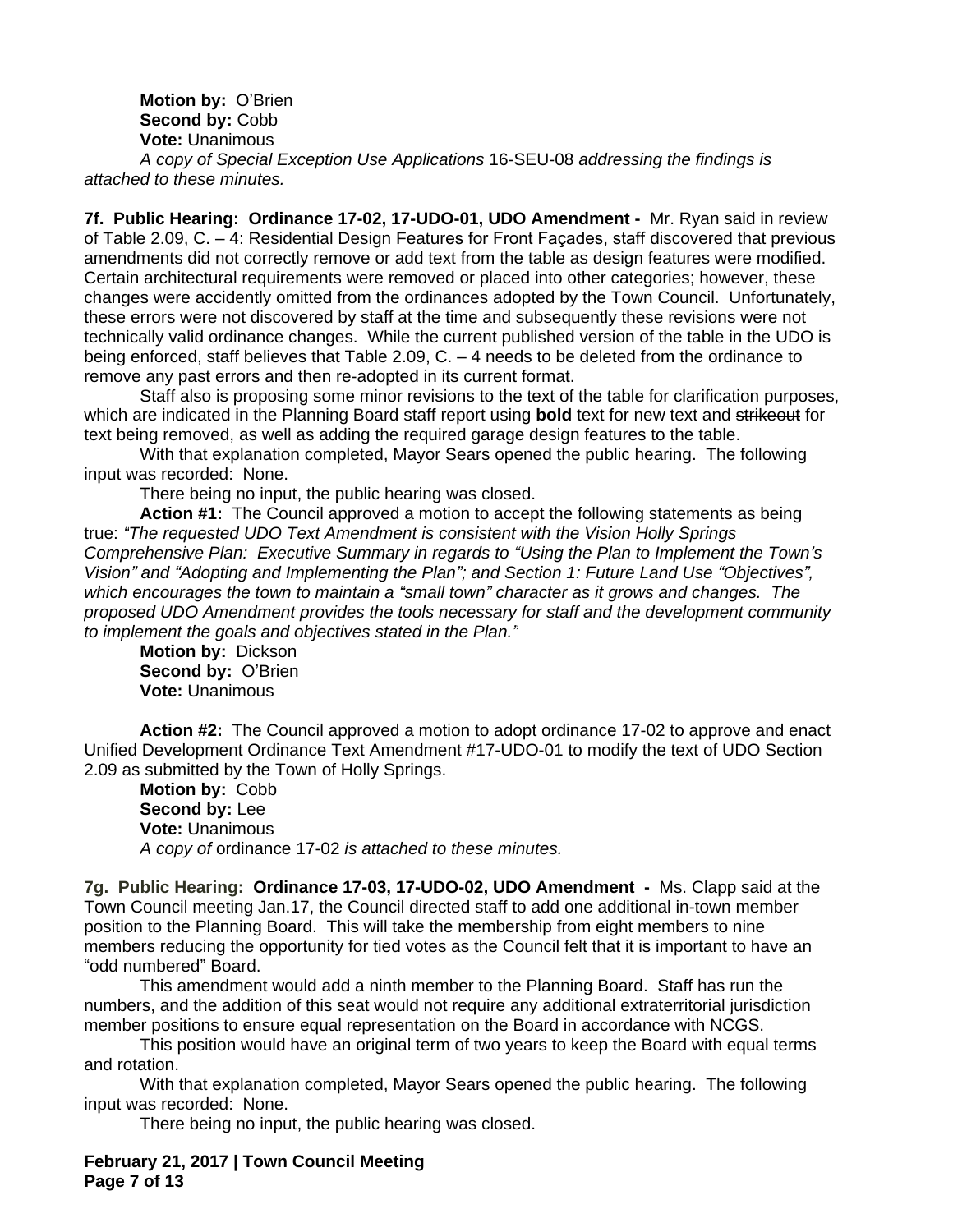**Motion by:** O'Brien **Second by:** Cobb **Vote:** Unanimous

*A copy of Special Exception Use Applications* 16-SEU-08 *addressing the findings is attached to these minutes.*

**7f. Public Hearing: Ordinance 17-02, 17-UDO-01, UDO Amendment -** Mr. Ryan said in review of Table 2.09, C. – 4: Residential Design Features for Front Façades, staff discovered that previous amendments did not correctly remove or add text from the table as design features were modified. Certain architectural requirements were removed or placed into other categories; however, these changes were accidently omitted from the ordinances adopted by the Town Council. Unfortunately, these errors were not discovered by staff at the time and subsequently these revisions were not technically valid ordinance changes. While the current published version of the table in the UDO is being enforced, staff believes that Table 2.09, C. – 4 needs to be deleted from the ordinance to remove any past errors and then re-adopted in its current format.

Staff also is proposing some minor revisions to the text of the table for clarification purposes, which are indicated in the Planning Board staff report using **bold** text for new text and strikeout for text being removed, as well as adding the required garage design features to the table.

With that explanation completed, Mayor Sears opened the public hearing. The following input was recorded: None.

There being no input, the public hearing was closed.

**Action #1:** The Council approved a motion to accept the following statements as being true: *"The requested UDO Text Amendment is consistent with the Vision Holly Springs Comprehensive Plan: Executive Summary in regards to "Using the Plan to Implement the Town's Vision" and "Adopting and Implementing the Plan"; and Section 1: Future Land Use "Objectives", which encourages the town to maintain a "small town" character as it grows and changes. The proposed UDO Amendment provides the tools necessary for staff and the development community to implement the goals and objectives stated in the Plan."*

**Motion by:** Dickson **Second by:** O'Brien **Vote:** Unanimous

**Action #2:** The Council approved a motion to adopt ordinance 17-02 to approve and enact Unified Development Ordinance Text Amendment #17-UDO-01 to modify the text of UDO Section 2.09 as submitted by the Town of Holly Springs.

**Motion by:** Cobb **Second by:** Lee **Vote:** Unanimous *A copy of* ordinance 17-02 *is attached to these minutes.*

**7g. Public Hearing: Ordinance 17-03, 17-UDO-02, UDO Amendment -** Ms. Clapp said at the Town Council meeting Jan.17, the Council directed staff to add one additional in-town member position to the Planning Board. This will take the membership from eight members to nine members reducing the opportunity for tied votes as the Council felt that it is important to have an "odd numbered" Board.

This amendment would add a ninth member to the Planning Board. Staff has run the numbers, and the addition of this seat would not require any additional extraterritorial jurisdiction member positions to ensure equal representation on the Board in accordance with NCGS.

This position would have an original term of two years to keep the Board with equal terms and rotation.

With that explanation completed, Mayor Sears opened the public hearing. The following input was recorded: None.

There being no input, the public hearing was closed.

**February 21, 2017 | Town Council Meeting Page 7 of 13**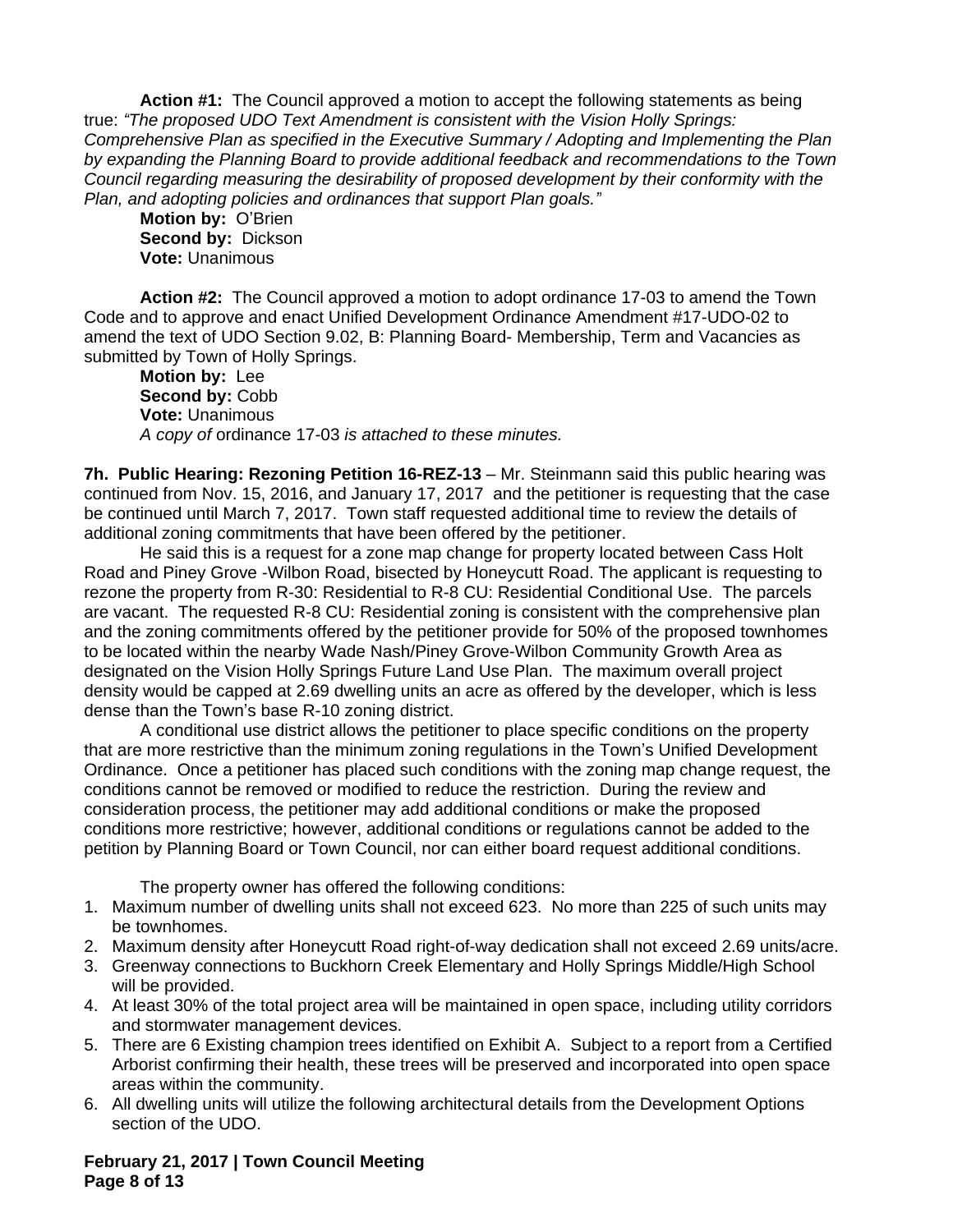**Action #1:** The Council approved a motion to accept the following statements as being true: *"The proposed UDO Text Amendment is consistent with the Vision Holly Springs: Comprehensive Plan as specified in the Executive Summary / Adopting and Implementing the Plan by expanding the Planning Board to provide additional feedback and recommendations to the Town Council regarding measuring the desirability of proposed development by their conformity with the Plan, and adopting policies and ordinances that support Plan goals."*

**Motion by:** O'Brien **Second by:** Dickson **Vote:** Unanimous

**Action #2:** The Council approved a motion to adopt ordinance 17-03 to amend the Town Code and to approve and enact Unified Development Ordinance Amendment #17-UDO-02 to amend the text of UDO Section 9.02, B: Planning Board- Membership, Term and Vacancies as submitted by Town of Holly Springs.

**Motion by:** Lee **Second by:** Cobb **Vote:** Unanimous *A copy of* ordinance 17-03 *is attached to these minutes.*

**7h. Public Hearing: Rezoning Petition 16-REZ-13** – Mr. Steinmann said this public hearing was continued from Nov. 15, 2016, and January 17, 2017 and the petitioner is requesting that the case be continued until March 7, 2017. Town staff requested additional time to review the details of additional zoning commitments that have been offered by the petitioner.

He said this is a request for a zone map change for property located between Cass Holt Road and Piney Grove -Wilbon Road, bisected by Honeycutt Road. The applicant is requesting to rezone the property from R-30: Residential to R-8 CU: Residential Conditional Use. The parcels are vacant. The requested R-8 CU: Residential zoning is consistent with the comprehensive plan and the zoning commitments offered by the petitioner provide for 50% of the proposed townhomes to be located within the nearby Wade Nash/Piney Grove-Wilbon Community Growth Area as designated on the Vision Holly Springs Future Land Use Plan. The maximum overall project density would be capped at 2.69 dwelling units an acre as offered by the developer, which is less dense than the Town's base R-10 zoning district.

A conditional use district allows the petitioner to place specific conditions on the property that are more restrictive than the minimum zoning regulations in the Town's Unified Development Ordinance. Once a petitioner has placed such conditions with the zoning map change request, the conditions cannot be removed or modified to reduce the restriction. During the review and consideration process, the petitioner may add additional conditions or make the proposed conditions more restrictive; however, additional conditions or regulations cannot be added to the petition by Planning Board or Town Council, nor can either board request additional conditions.

The property owner has offered the following conditions:

- 1. Maximum number of dwelling units shall not exceed 623. No more than 225 of such units may be townhomes.
- 2. Maximum density after Honeycutt Road right-of-way dedication shall not exceed 2.69 units/acre.
- 3. Greenway connections to Buckhorn Creek Elementary and Holly Springs Middle/High School will be provided.
- 4. At least 30% of the total project area will be maintained in open space, including utility corridors and stormwater management devices.
- 5. There are 6 Existing champion trees identified on Exhibit A. Subject to a report from a Certified Arborist confirming their health, these trees will be preserved and incorporated into open space areas within the community.
- 6. All dwelling units will utilize the following architectural details from the Development Options section of the UDO.

**February 21, 2017 | Town Council Meeting Page 8 of 13**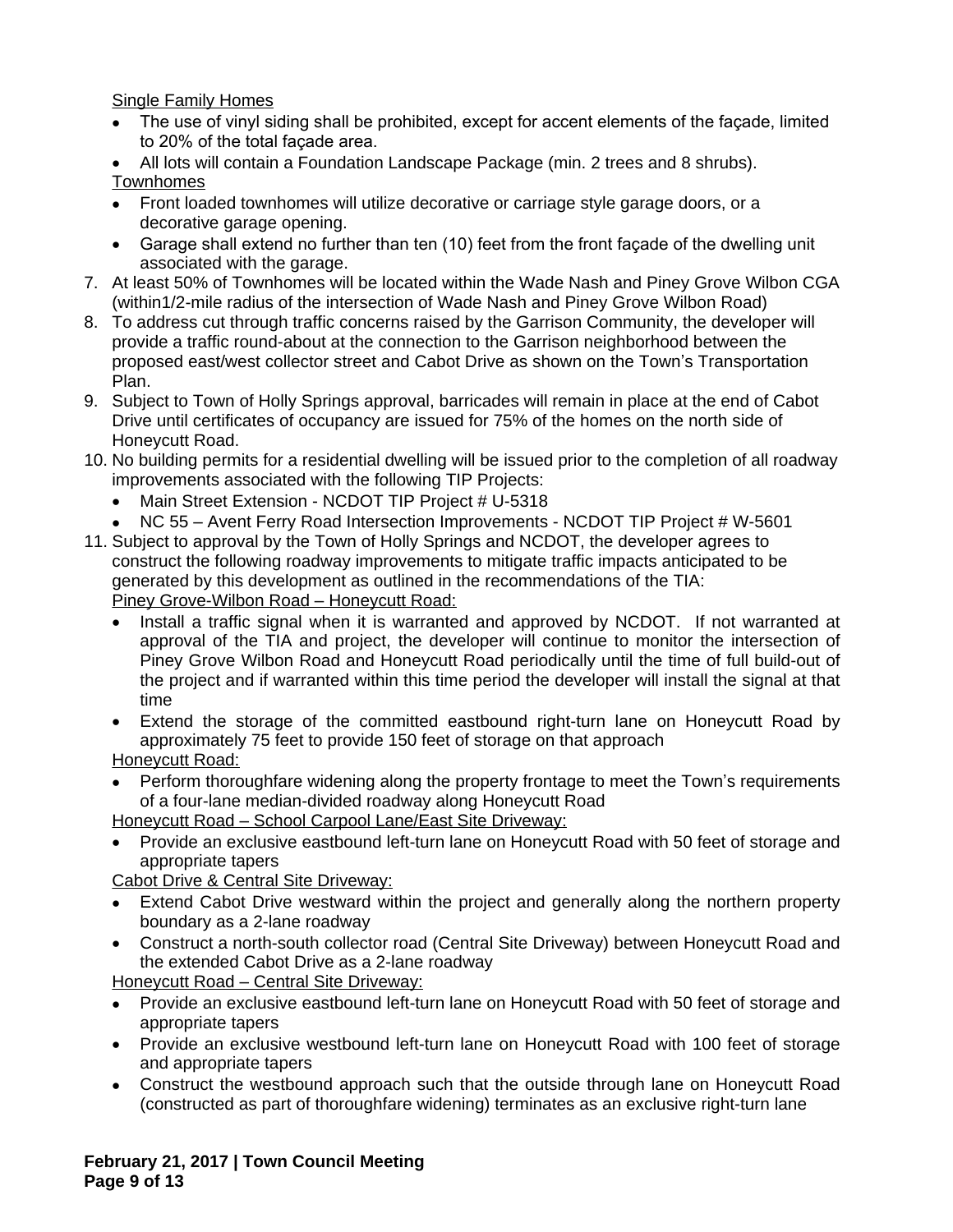Single Family Homes

- The use of vinyl siding shall be prohibited, except for accent elements of the façade, limited to 20% of the total façade area.
- All lots will contain a Foundation Landscape Package (min. 2 trees and 8 shrubs). Townhomes
- Front loaded townhomes will utilize decorative or carriage style garage doors, or a decorative garage opening.
- Garage shall extend no further than ten (10) feet from the front façade of the dwelling unit associated with the garage.
- 7. At least 50% of Townhomes will be located within the Wade Nash and Piney Grove Wilbon CGA (within1/2-mile radius of the intersection of Wade Nash and Piney Grove Wilbon Road)
- 8. To address cut through traffic concerns raised by the Garrison Community, the developer will provide a traffic round-about at the connection to the Garrison neighborhood between the proposed east/west collector street and Cabot Drive as shown on the Town's Transportation Plan.
- 9. Subject to Town of Holly Springs approval, barricades will remain in place at the end of Cabot Drive until certificates of occupancy are issued for 75% of the homes on the north side of Honeycutt Road.
- 10. No building permits for a residential dwelling will be issued prior to the completion of all roadway improvements associated with the following TIP Projects:
	- Main Street Extension NCDOT TIP Project # U-5318
	- NC 55 Avent Ferry Road Intersection Improvements NCDOT TIP Project # W-5601
- 11. Subject to approval by the Town of Holly Springs and NCDOT, the developer agrees to construct the following roadway improvements to mitigate traffic impacts anticipated to be generated by this development as outlined in the recommendations of the TIA: Piney Grove-Wilbon Road – Honeycutt Road:
	- Install a traffic signal when it is warranted and approved by NCDOT. If not warranted at approval of the TIA and project, the developer will continue to monitor the intersection of Piney Grove Wilbon Road and Honeycutt Road periodically until the time of full build-out of the project and if warranted within this time period the developer will install the signal at that time
	- Extend the storage of the committed eastbound right-turn lane on Honeycutt Road by approximately 75 feet to provide 150 feet of storage on that approach

Honeycutt Road:

 Perform thoroughfare widening along the property frontage to meet the Town's requirements of a four-lane median-divided roadway along Honeycutt Road

Honeycutt Road – School Carpool Lane/East Site Driveway:

 Provide an exclusive eastbound left-turn lane on Honeycutt Road with 50 feet of storage and appropriate tapers

Cabot Drive & Central Site Driveway:

- Extend Cabot Drive westward within the project and generally along the northern property boundary as a 2-lane roadway
- Construct a north-south collector road (Central Site Driveway) between Honeycutt Road and the extended Cabot Drive as a 2-lane roadway

Honeycutt Road – Central Site Driveway:

- Provide an exclusive eastbound left-turn lane on Honeycutt Road with 50 feet of storage and appropriate tapers
- Provide an exclusive westbound left-turn lane on Honeycutt Road with 100 feet of storage and appropriate tapers
- Construct the westbound approach such that the outside through lane on Honeycutt Road (constructed as part of thoroughfare widening) terminates as an exclusive right-turn lane

**February 21, 2017 | Town Council Meeting Page 9 of 13**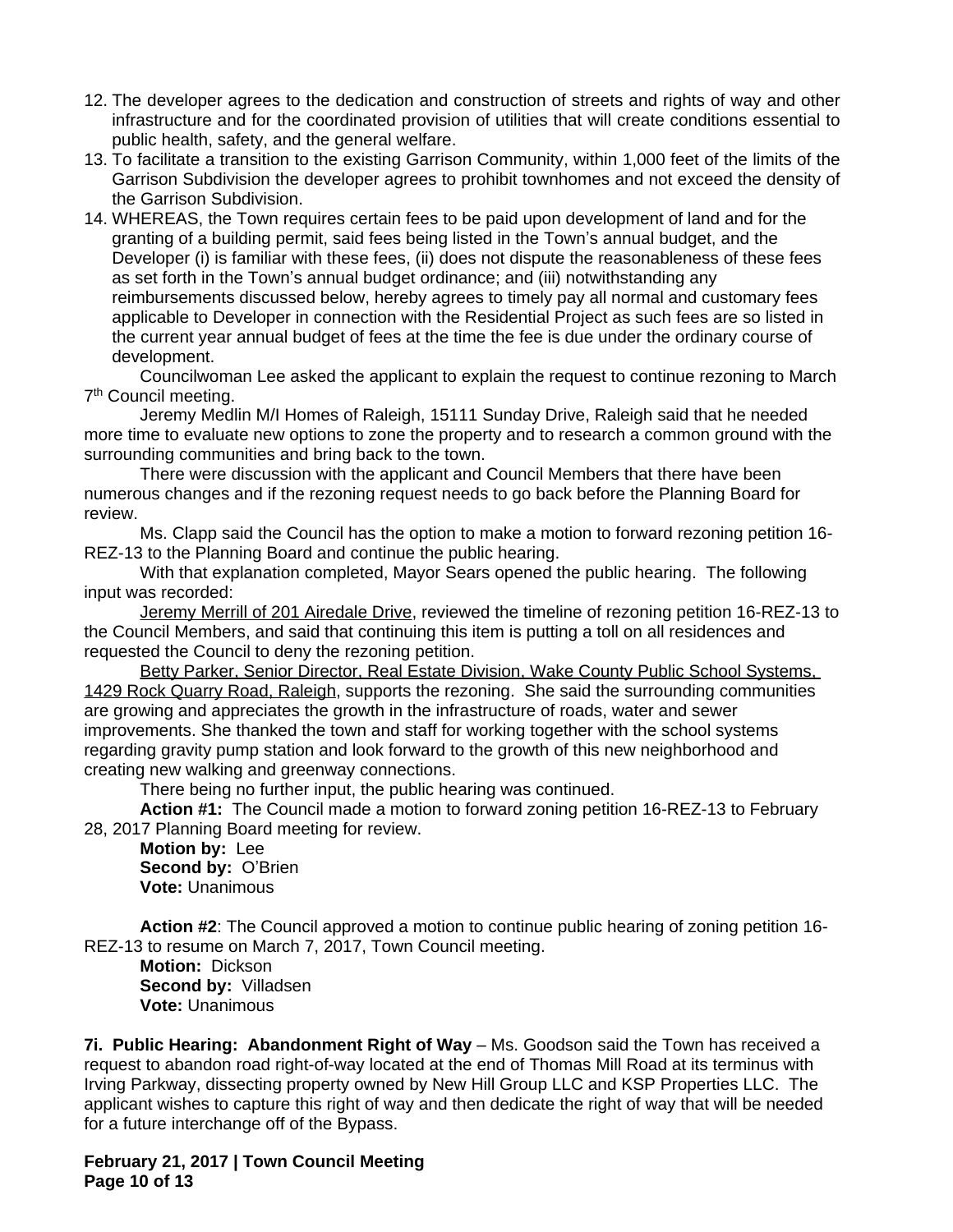- 12. The developer agrees to the dedication and construction of streets and rights of way and other infrastructure and for the coordinated provision of utilities that will create conditions essential to public health, safety, and the general welfare.
- 13. To facilitate a transition to the existing Garrison Community, within 1,000 feet of the limits of the Garrison Subdivision the developer agrees to prohibit townhomes and not exceed the density of the Garrison Subdivision.
- 14. WHEREAS, the Town requires certain fees to be paid upon development of land and for the granting of a building permit, said fees being listed in the Town's annual budget, and the Developer (i) is familiar with these fees, (ii) does not dispute the reasonableness of these fees as set forth in the Town's annual budget ordinance; and (iii) notwithstanding any reimbursements discussed below, hereby agrees to timely pay all normal and customary fees applicable to Developer in connection with the Residential Project as such fees are so listed in the current year annual budget of fees at the time the fee is due under the ordinary course of development.

Councilwoman Lee asked the applicant to explain the request to continue rezoning to March 7<sup>th</sup> Council meeting.

Jeremy Medlin M/I Homes of Raleigh, 15111 Sunday Drive, Raleigh said that he needed more time to evaluate new options to zone the property and to research a common ground with the surrounding communities and bring back to the town.

There were discussion with the applicant and Council Members that there have been numerous changes and if the rezoning request needs to go back before the Planning Board for review.

Ms. Clapp said the Council has the option to make a motion to forward rezoning petition 16- REZ-13 to the Planning Board and continue the public hearing.

With that explanation completed, Mayor Sears opened the public hearing. The following input was recorded:

Jeremy Merrill of 201 Airedale Drive, reviewed the timeline of rezoning petition 16-REZ-13 to the Council Members, and said that continuing this item is putting a toll on all residences and requested the Council to deny the rezoning petition.

Betty Parker, Senior Director, Real Estate Division, Wake County Public School Systems, 1429 Rock Quarry Road, Raleigh, supports the rezoning. She said the surrounding communities are growing and appreciates the growth in the infrastructure of roads, water and sewer improvements. She thanked the town and staff for working together with the school systems regarding gravity pump station and look forward to the growth of this new neighborhood and creating new walking and greenway connections.

There being no further input, the public hearing was continued.

**Action #1:** The Council made a motion to forward zoning petition 16-REZ-13 to February 28, 2017 Planning Board meeting for review.

**Motion by:** Lee **Second by:** O'Brien **Vote:** Unanimous

**Action #2**: The Council approved a motion to continue public hearing of zoning petition 16- REZ-13 to resume on March 7, 2017, Town Council meeting.

**Motion:** Dickson **Second by:** Villadsen **Vote:** Unanimous

**7i. Public Hearing: Abandonment Right of Way** – Ms. Goodson said the Town has received a request to abandon road right-of-way located at the end of Thomas Mill Road at its terminus with Irving Parkway, dissecting property owned by New Hill Group LLC and KSP Properties LLC. The applicant wishes to capture this right of way and then dedicate the right of way that will be needed for a future interchange off of the Bypass.

**February 21, 2017 | Town Council Meeting Page 10 of 13**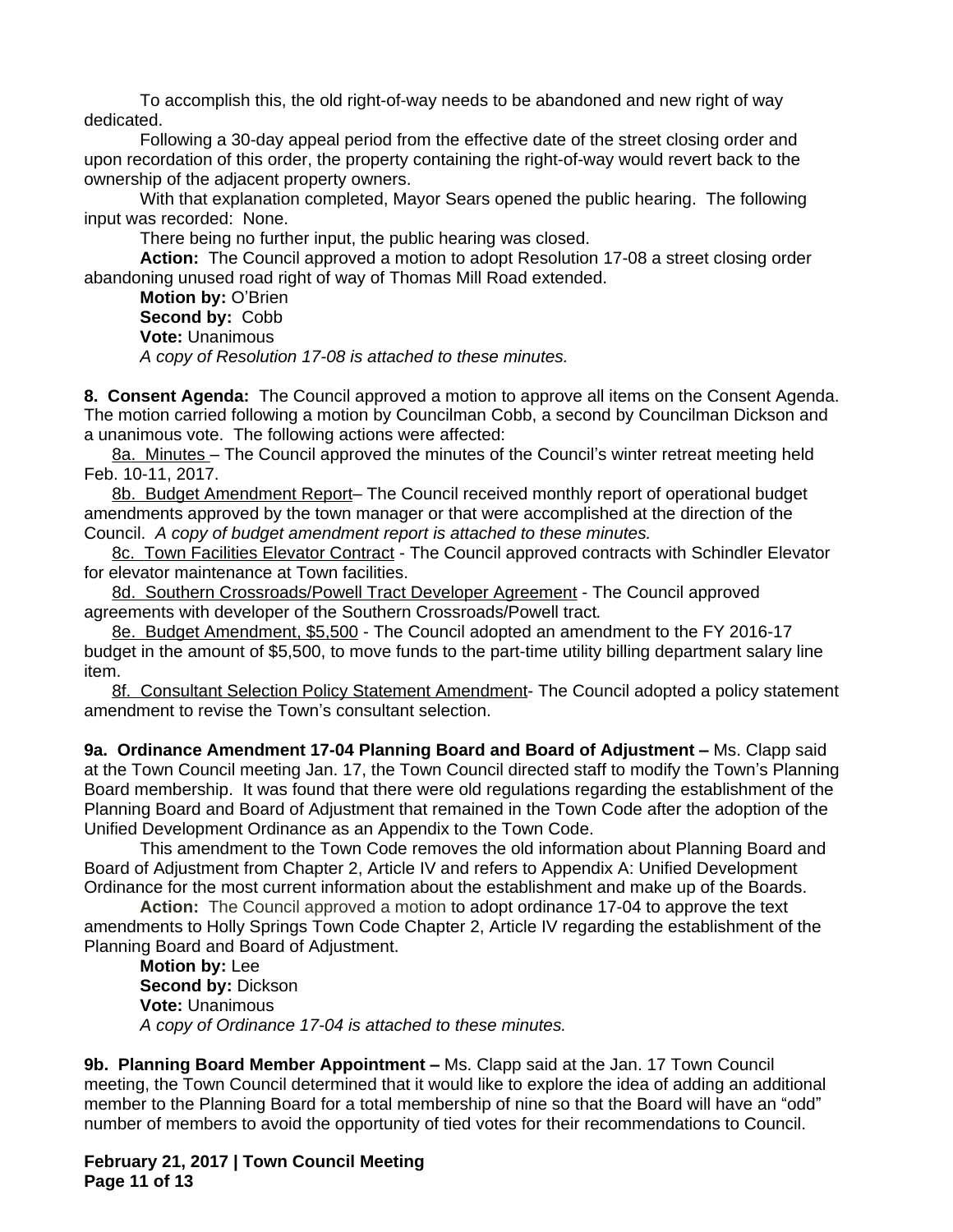To accomplish this, the old right-of-way needs to be abandoned and new right of way dedicated.

Following a 30-day appeal period from the effective date of the street closing order and upon recordation of this order, the property containing the right-of-way would revert back to the ownership of the adjacent property owners.

With that explanation completed, Mayor Sears opened the public hearing. The following input was recorded: None.

There being no further input, the public hearing was closed.

**Action:** The Council approved a motion to adopt Resolution 17-08 a street closing order abandoning unused road right of way of Thomas Mill Road extended.

**Motion by:** O'Brien **Second by:** Cobb **Vote:** Unanimous *A copy of Resolution 17-08 is attached to these minutes.*

**8. Consent Agenda:** The Council approved a motion to approve all items on the Consent Agenda. The motion carried following a motion by Councilman Cobb, a second by Councilman Dickson and a unanimous vote. The following actions were affected:

8a. Minutes – The Council approved the minutes of the Council's winter retreat meeting held Feb. 10-11, 2017.

8b. Budget Amendment Report– The Council received monthly report of operational budget amendments approved by the town manager or that were accomplished at the direction of the Council. *A copy of budget amendment report is attached to these minutes.*

8c. Town Facilities Elevator Contract - The Council approved contracts with Schindler Elevator for elevator maintenance at Town facilities.

8d. Southern Crossroads/Powell Tract Developer Agreement - The Council approved agreements with developer of the Southern Crossroads/Powell tract*.*

8e. Budget Amendment, \$5,500 - The Council adopted an amendment to the FY 2016-17 budget in the amount of \$5,500, to move funds to the part-time utility billing department salary line item.

8f. Consultant Selection Policy Statement Amendment- The Council adopted a policy statement amendment to revise the Town's consultant selection.

**9a. Ordinance Amendment 17-04 Planning Board and Board of Adjustment – Ms. Clapp said** at the Town Council meeting Jan. 17, the Town Council directed staff to modify the Town's Planning Board membership. It was found that there were old regulations regarding the establishment of the Planning Board and Board of Adjustment that remained in the Town Code after the adoption of the Unified Development Ordinance as an Appendix to the Town Code.

This amendment to the Town Code removes the old information about Planning Board and Board of Adjustment from Chapter 2, Article IV and refers to Appendix A: Unified Development Ordinance for the most current information about the establishment and make up of the Boards.

**Action:** The Council approved a motion to adopt ordinance 17-04 to approve the text amendments to Holly Springs Town Code Chapter 2, Article IV regarding the establishment of the Planning Board and Board of Adjustment.

**Motion by:** Lee **Second by:** Dickson **Vote:** Unanimous *A copy of Ordinance 17-04 is attached to these minutes.*

**9b. Planning Board Member Appointment –** Ms. Clapp said at the Jan. 17 Town Council meeting, the Town Council determined that it would like to explore the idea of adding an additional member to the Planning Board for a total membership of nine so that the Board will have an "odd" number of members to avoid the opportunity of tied votes for their recommendations to Council.

**February 21, 2017 | Town Council Meeting Page 11 of 13**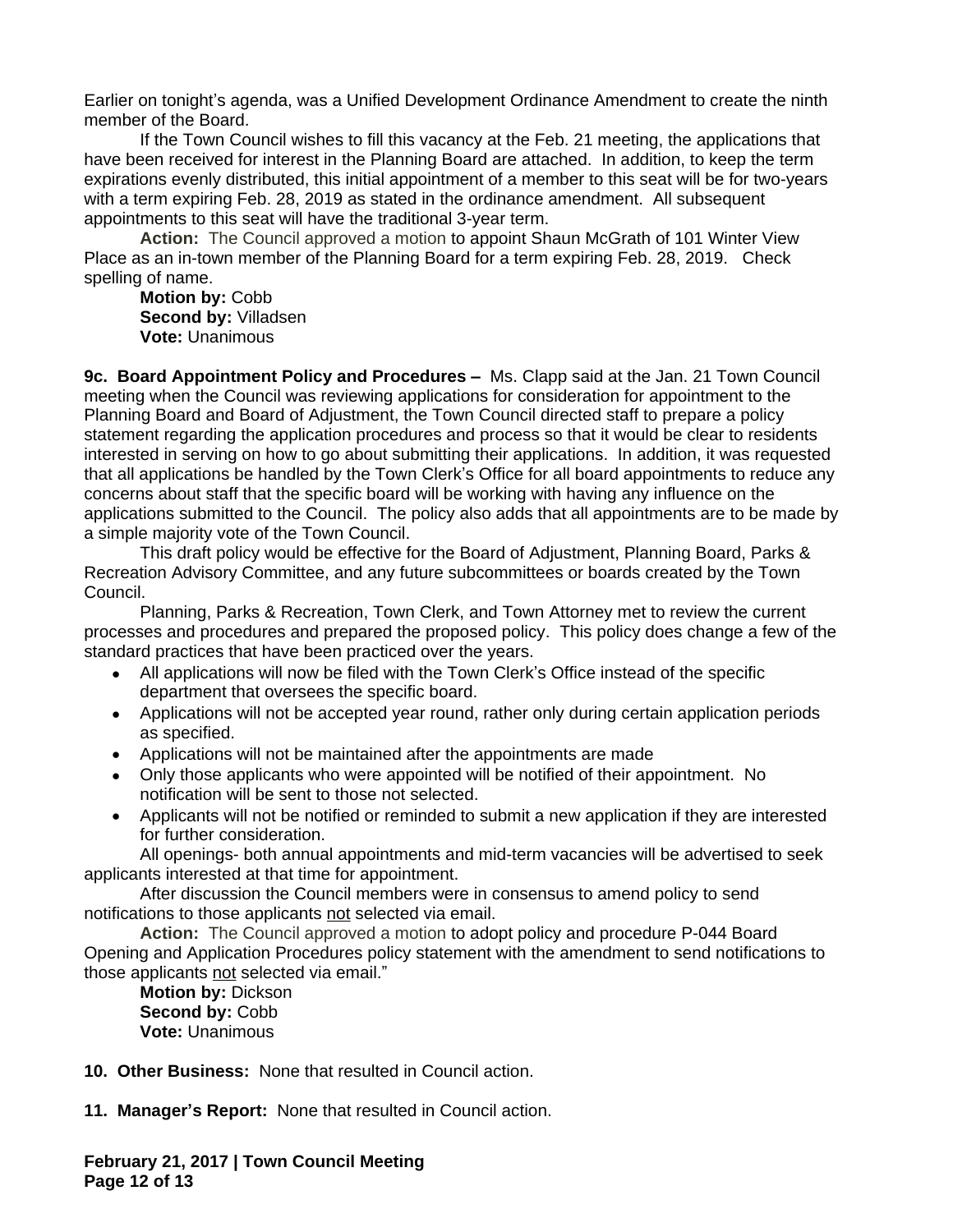Earlier on tonight's agenda, was a Unified Development Ordinance Amendment to create the ninth member of the Board.

If the Town Council wishes to fill this vacancy at the Feb. 21 meeting, the applications that have been received for interest in the Planning Board are attached. In addition, to keep the term expirations evenly distributed, this initial appointment of a member to this seat will be for two-years with a term expiring Feb. 28, 2019 as stated in the ordinance amendment. All subsequent appointments to this seat will have the traditional 3-year term.

**Action:** The Council approved a motion to appoint Shaun McGrath of 101 Winter View Place as an in-town member of the Planning Board for a term expiring Feb. 28, 2019. Check spelling of name.

**Motion by:** Cobb **Second by:** Villadsen **Vote:** Unanimous

**9c. Board Appointment Policy and Procedures - Ms. Clapp said at the Jan. 21 Town Council** meeting when the Council was reviewing applications for consideration for appointment to the Planning Board and Board of Adjustment, the Town Council directed staff to prepare a policy statement regarding the application procedures and process so that it would be clear to residents interested in serving on how to go about submitting their applications. In addition, it was requested that all applications be handled by the Town Clerk's Office for all board appointments to reduce any concerns about staff that the specific board will be working with having any influence on the applications submitted to the Council. The policy also adds that all appointments are to be made by a simple majority vote of the Town Council.

This draft policy would be effective for the Board of Adjustment, Planning Board, Parks & Recreation Advisory Committee, and any future subcommittees or boards created by the Town Council.

Planning, Parks & Recreation, Town Clerk, and Town Attorney met to review the current processes and procedures and prepared the proposed policy. This policy does change a few of the standard practices that have been practiced over the years.

- All applications will now be filed with the Town Clerk's Office instead of the specific department that oversees the specific board.
- Applications will not be accepted year round, rather only during certain application periods as specified.
- Applications will not be maintained after the appointments are made
- Only those applicants who were appointed will be notified of their appointment. No notification will be sent to those not selected.
- Applicants will not be notified or reminded to submit a new application if they are interested for further consideration.

All openings- both annual appointments and mid-term vacancies will be advertised to seek applicants interested at that time for appointment.

After discussion the Council members were in consensus to amend policy to send notifications to those applicants not selected via email.

**Action:** The Council approved a motion to adopt policy and procedure P-044 Board Opening and Application Procedures policy statement with the amendment to send notifications to those applicants not selected via email."

**Motion by:** Dickson **Second by:** Cobb **Vote:** Unanimous

**10. Other Business:** None that resulted in Council action.

**11. Manager's Report:** None that resulted in Council action.

**February 21, 2017 | Town Council Meeting Page 12 of 13**